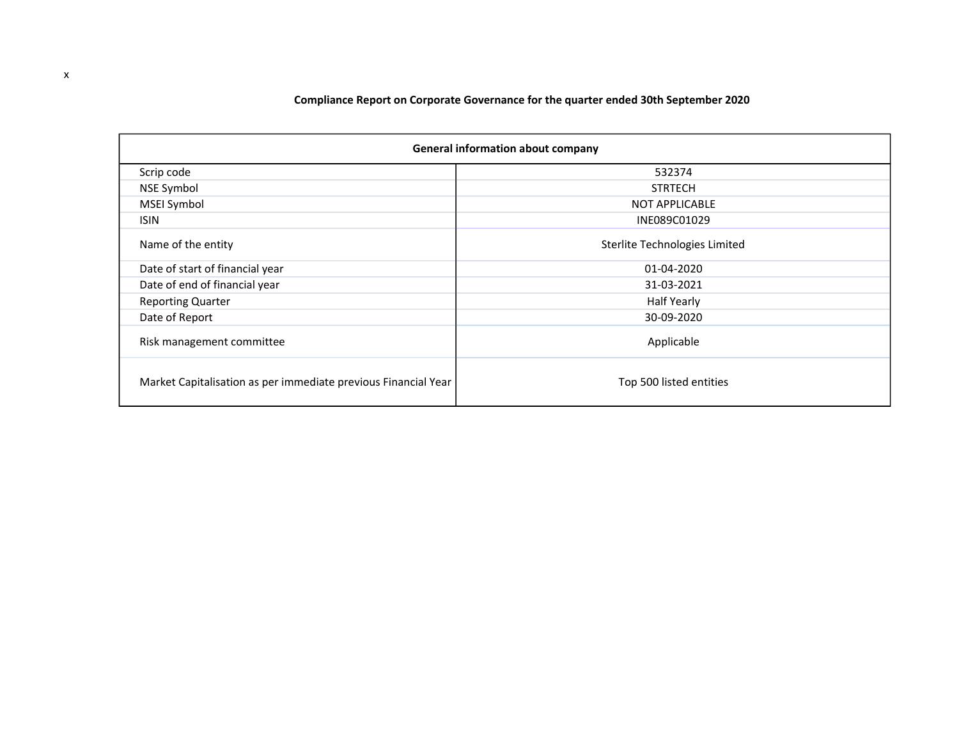### Compliance Report on Corporate Governance for the quarter ended 30th **September** 2020

| <b>General information about company</b>                       |                               |  |  |  |  |
|----------------------------------------------------------------|-------------------------------|--|--|--|--|
| Scrip code                                                     | 532374                        |  |  |  |  |
| <b>NSE Symbol</b>                                              | <b>STRTECH</b>                |  |  |  |  |
| MSEI Symbol                                                    | <b>NOT APPLICABLE</b>         |  |  |  |  |
| <b>ISIN</b>                                                    | INE089C01029                  |  |  |  |  |
| Name of the entity                                             | Sterlite Technologies Limited |  |  |  |  |
| Date of start of financial year                                | 01-04-2020                    |  |  |  |  |
| Date of end of financial year                                  | 31-03-2021                    |  |  |  |  |
| <b>Reporting Quarter</b>                                       | <b>Half Yearly</b>            |  |  |  |  |
| Date of Report                                                 | 30-09-2020                    |  |  |  |  |
| Risk management committee                                      | Applicable                    |  |  |  |  |
| Market Capitalisation as per immediate previous Financial Year | Top 500 listed entities       |  |  |  |  |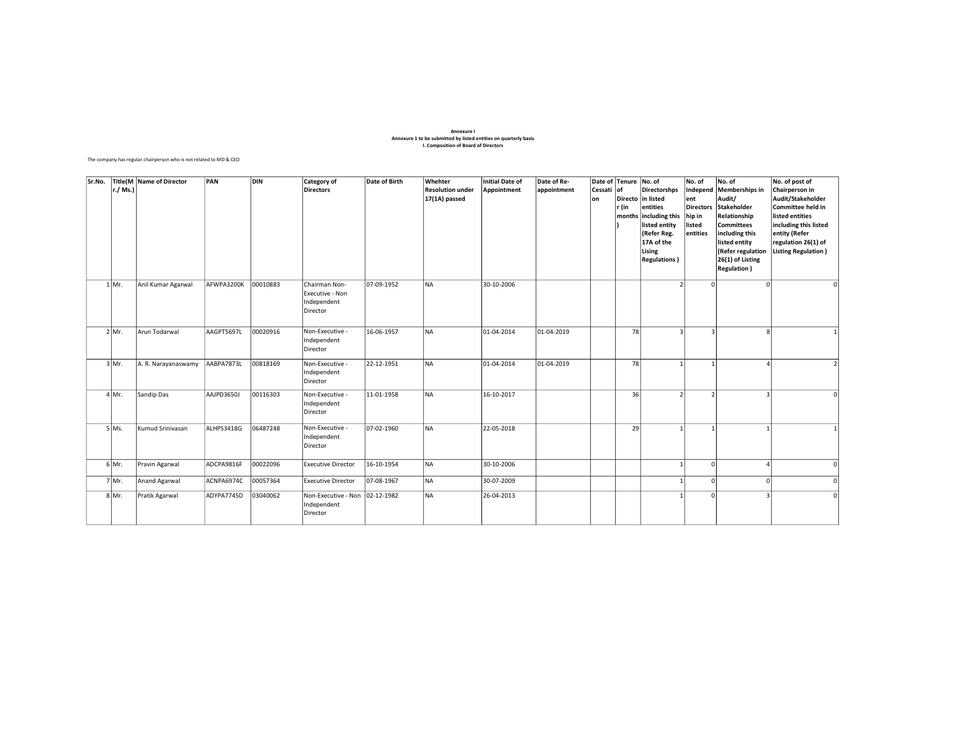# Annexure I Annexure 1 to be submitted by listed entities on quarterly basis I. Composition of Board of Directors

The company has regular chairperson who is not related to MD & CEO

| Sr.No. | r./ Ms.) | <b>Title(M Name of Director</b> | PAN        | <b>DIN</b> | <b>Category of</b><br><b>Directors</b>                      | Date of Birth | Whehter<br><b>Resolution under</b><br>17(1A) passed | Initial Date of<br>Appointment | Date of Re-<br>appointment | Date of Tenure No. of<br>Cessati<br>lon | lof<br>r (in | <b>Directorshps</b><br>Directo in listed<br>entities<br>months including this<br>listed entity<br>(Refer Reg.<br>17A of the<br>Lising<br><b>Regulations</b> ) | No. of<br>Independ<br>ent<br><b>Directors</b><br>hip in<br>listed<br>entities | No. of<br>Memberships in<br>Audit/<br>Stakeholder<br>Relationship<br><b>Committees</b><br>including this<br>listed entity<br>(Refer regulation<br>26(1) of Listing<br><b>Regulation</b> ) | No. of post of<br>Chairperson in<br>Audit/Stakeholder<br>Committee held in<br>listed entities<br>including this listed<br>entity (Refer<br>regulation 26(1) of<br>Listing Regulation) |
|--------|----------|---------------------------------|------------|------------|-------------------------------------------------------------|---------------|-----------------------------------------------------|--------------------------------|----------------------------|-----------------------------------------|--------------|---------------------------------------------------------------------------------------------------------------------------------------------------------------|-------------------------------------------------------------------------------|-------------------------------------------------------------------------------------------------------------------------------------------------------------------------------------------|---------------------------------------------------------------------------------------------------------------------------------------------------------------------------------------|
|        | $1$ Mr.  | Anil Kumar Agarwal              | AFWPA3200K | 00010883   | Chairman Non-<br>Executive - Non<br>Independent<br>Director | 07-09-1952    | <b>NA</b>                                           | 30-10-2006                     |                            |                                         |              |                                                                                                                                                               | $\Omega$                                                                      |                                                                                                                                                                                           | $\circ$                                                                                                                                                                               |
|        | $2$ Mr.  | Arun Todarwal                   | AAGPT5697L | 00020916   | Non-Executive -<br>Independent<br>Director                  | 16-06-1957    | <b>NA</b>                                           | 01-04-2014                     | 01-04-2019                 |                                         | 78           | R                                                                                                                                                             | $\overline{3}$                                                                | Ŕ                                                                                                                                                                                         |                                                                                                                                                                                       |
|        | $3$ Mr.  | A. R. Narayanaswamy             | AABPA7873L | 00818169   | Non-Executive -<br>Independent<br>Director                  | 22-12-1951    | <b>NA</b>                                           | 01-04-2014                     | 01-04-2019                 |                                         | 78           | 1                                                                                                                                                             | $\mathbf{1}$                                                                  |                                                                                                                                                                                           | $\mathcal{L}$                                                                                                                                                                         |
|        | $4$ Mr.  | Sandip Das                      | AAJPD3650J | 00116303   | Non-Executive -<br>Independent<br>Director                  | 11-01-1958    | <b>NA</b>                                           | 16-10-2017                     |                            |                                         | 36           | $\mathcal{P}$                                                                                                                                                 | $\mathfrak{p}$                                                                | $\overline{\mathbf{a}}$                                                                                                                                                                   | $\Omega$                                                                                                                                                                              |
|        | $5$ Ms.  | Kumud Srinivasan                | ALHPS3418G | 06487248   | Non-Executive -<br>Independent<br>Director                  | 07-02-1960    | NA                                                  | 22-05-2018                     |                            |                                         | 29           | $\mathbf{1}$                                                                                                                                                  | $\mathbf{1}$                                                                  |                                                                                                                                                                                           |                                                                                                                                                                                       |
|        | $6$ Mr.  | Pravin Agarwal                  | ADCPA9816F | 00022096   | <b>Executive Director</b>                                   | 16-10-1954    | NA                                                  | 30-10-2006                     |                            |                                         |              |                                                                                                                                                               | $\Omega$                                                                      |                                                                                                                                                                                           | $\Omega$                                                                                                                                                                              |
|        | 7 Mr.    | Anand Agarwal                   | ACNPA6974C | 00057364   | <b>Executive Director</b>                                   | 07-08-1967    | NA                                                  | 30-07-2009                     |                            |                                         |              | 1                                                                                                                                                             | $\Omega$                                                                      | $\Omega$                                                                                                                                                                                  | $\Omega$                                                                                                                                                                              |
|        | 8 Mr.    | Pratik Agarwal                  | ADYPA7745D | 03040062   | Non-Executive - Non<br>Independent<br>Director              | 02-12-1982    | <b>NA</b>                                           | 26-04-2013                     |                            |                                         |              |                                                                                                                                                               | $\Omega$                                                                      |                                                                                                                                                                                           | $\Omega$                                                                                                                                                                              |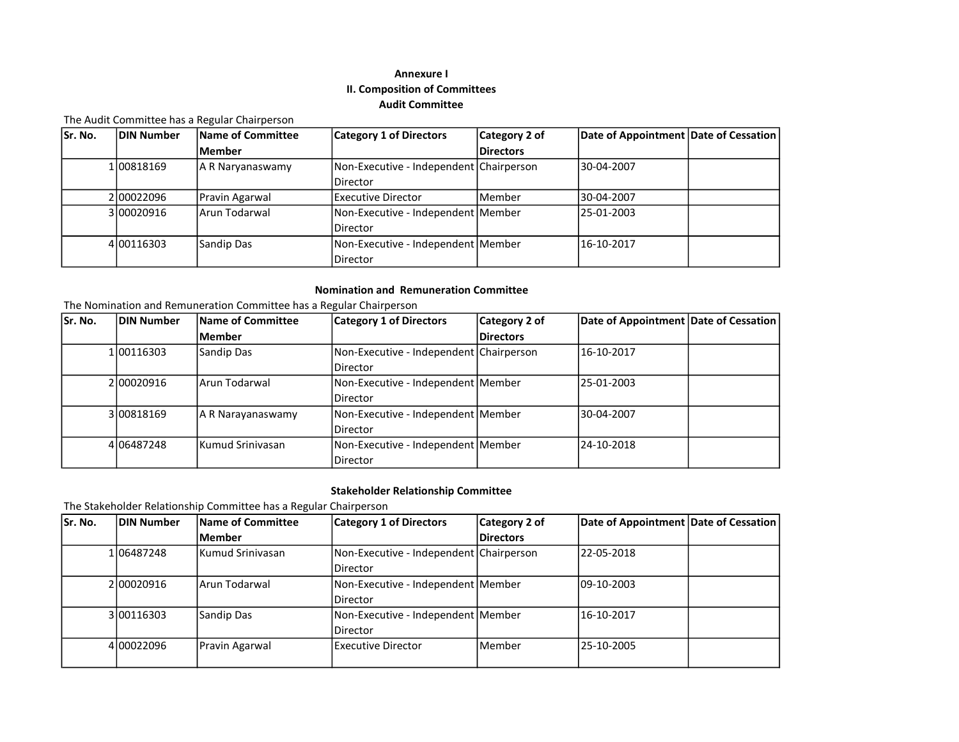### Annexure I II. Composition of Committees Audit Committee

The Audit Committee has a Regular Chairperson

| Sr. No. | DIN Number   | <b>Name of Committee</b> | <b>Category 1 of Directors</b>          | Category 2 of    | Date of Appointment Date of Cessation |  |
|---------|--------------|--------------------------|-----------------------------------------|------------------|---------------------------------------|--|
|         |              | lMember                  |                                         | <b>Directors</b> |                                       |  |
|         | 1 008 18 169 | A R Naryanaswamy         | Non-Executive - Independent Chairperson |                  | 30-04-2007                            |  |
|         |              |                          | Director                                |                  |                                       |  |
|         | 2100022096   | Pravin Agarwal           | lExecutive Director                     | <b>Member</b>    | 30-04-2007                            |  |
|         | 3 00020916   | lArun Todarwal           | Non-Executive - Independent Member      |                  | 25-01-2003                            |  |
|         |              |                          | <b>IDirector</b>                        |                  |                                       |  |
|         | 4 00116303   | Sandip Das               | Non-Executive - Independent Member      |                  | 16-10-2017                            |  |
|         |              |                          | Director                                |                  |                                       |  |

#### Nomination and Remuneration Committee

The Nomination and Remuneration Committee has a Regular Chairperson

| Sr. No. | <b>DIN Number</b> | Name of Committee | <b>Category 1 of Directors</b>          | Category 2 of    | Date of Appointment Date of Cessation |  |
|---------|-------------------|-------------------|-----------------------------------------|------------------|---------------------------------------|--|
|         |                   | Member            |                                         | <b>Directors</b> |                                       |  |
|         | 1 00116303        | Sandip Das        | Non-Executive - Independent Chairperson |                  | 16-10-2017                            |  |
|         |                   |                   | Director                                |                  |                                       |  |
|         | 2 00020916        | Arun Todarwal     | Non-Executive - Independent   Member    |                  | 25-01-2003                            |  |
|         |                   |                   | Director                                |                  |                                       |  |
|         | 3 008 18 169      | A R Narayanaswamy | Non-Executive - Independent Member      |                  | 30-04-2007                            |  |
|         |                   |                   | Director                                |                  |                                       |  |
|         | 4 06487248        | lKumud Srinivasan | Non-Executive - Independent   Member    |                  | 24-10-2018                            |  |
|         |                   |                   | <b>Director</b>                         |                  |                                       |  |

### Stakeholder Relationship Committee

The Stakeholder Relationship Committee has a Regular Chairperson

| Sr. No. | <b>DIN Number</b> | Name of Committee | <b>Category 1 of Directors</b>          | Category 2 of    | Date of Appointment Date of Cessation |  |
|---------|-------------------|-------------------|-----------------------------------------|------------------|---------------------------------------|--|
|         |                   | lMember           |                                         | <b>Directors</b> |                                       |  |
|         | 1 06487248        | lKumud Srinivasan | Non-Executive - Independent Chairperson |                  | 22-05-2018                            |  |
|         |                   |                   | Director                                |                  |                                       |  |
|         | 2 00020916        | lArun Todarwal    | Non-Executive - Independent Member      |                  | 109-10-2003                           |  |
|         |                   |                   | Director                                |                  |                                       |  |
|         | 3 00116303        | Sandip Das        | Non-Executive - Independent   Member    |                  | 16-10-2017                            |  |
|         |                   |                   | l Director                              |                  |                                       |  |
|         | 4 00022096        | Pravin Agarwal    | l Executive Director                    | <b>Member</b>    | 25-10-2005                            |  |
|         |                   |                   |                                         |                  |                                       |  |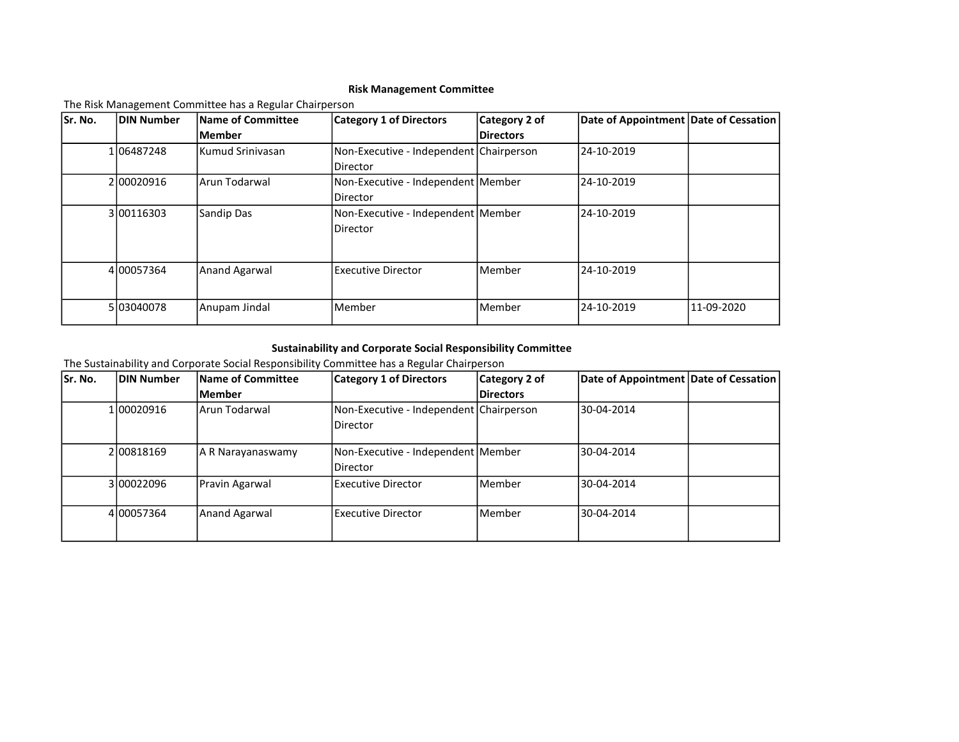### Risk Management Committee

The Risk Management Committee has a Regular Chairperson

| Sr. No. | <b>DIN Number</b> | Name of Committee | <b>Category 1 of Directors</b>          | Category 2 of    | Date of Appointment Date of Cessation |            |
|---------|-------------------|-------------------|-----------------------------------------|------------------|---------------------------------------|------------|
|         |                   | lMember           |                                         | <b>Directors</b> |                                       |            |
|         | 1 06487248        | lKumud Srinivasan | Non-Executive - Independent Chairperson |                  | 24-10-2019                            |            |
|         |                   |                   | Director                                |                  |                                       |            |
|         | 200020916         | lArun Todarwal    | Non-Executive - Independent Member      |                  | 24-10-2019                            |            |
|         |                   |                   | Director                                |                  |                                       |            |
|         | 3 00116303        | Sandip Das        | Non-Executive - Independent Member      |                  | 24-10-2019                            |            |
|         |                   |                   | Director                                |                  |                                       |            |
|         |                   |                   |                                         |                  |                                       |            |
|         |                   |                   |                                         |                  |                                       |            |
|         | 4 00057364        | Anand Agarwal     | Executive Director                      | Member           | 24-10-2019                            |            |
|         |                   |                   |                                         |                  |                                       |            |
|         | 5 03040078        | Anupam Jindal     | Member                                  | Member           | 24-10-2019                            | 11-09-2020 |
|         |                   |                   |                                         |                  |                                       |            |

### Sustainability and Corporate Social Responsibility Committee

The Sustainability and Corporate Social Responsibility Committee has a Regular Chairperson

| Sr. No. | <b>DIN Number</b> | Name of Committee | <b>Category 1 of Directors</b>                        | Category 2 of    | Date of Appointment Date of Cessation |  |
|---------|-------------------|-------------------|-------------------------------------------------------|------------------|---------------------------------------|--|
|         |                   | Member            |                                                       | <b>Directors</b> |                                       |  |
|         | 1 00020916        | lArun Todarwal    | Non-Executive - Independent Chairperson<br>Director   |                  | 30-04-2014                            |  |
|         | 2 008 18 169      | A R Narayanaswamy | Non-Executive - Independent Member<br><b>Director</b> |                  | 30-04-2014                            |  |
|         | 3100022096        | Pravin Agarwal    | Executive Director                                    | l Member         | 30-04-2014                            |  |
|         | 4 00057364        | Anand Agarwal     | <b>Executive Director</b>                             | Member           | 30-04-2014                            |  |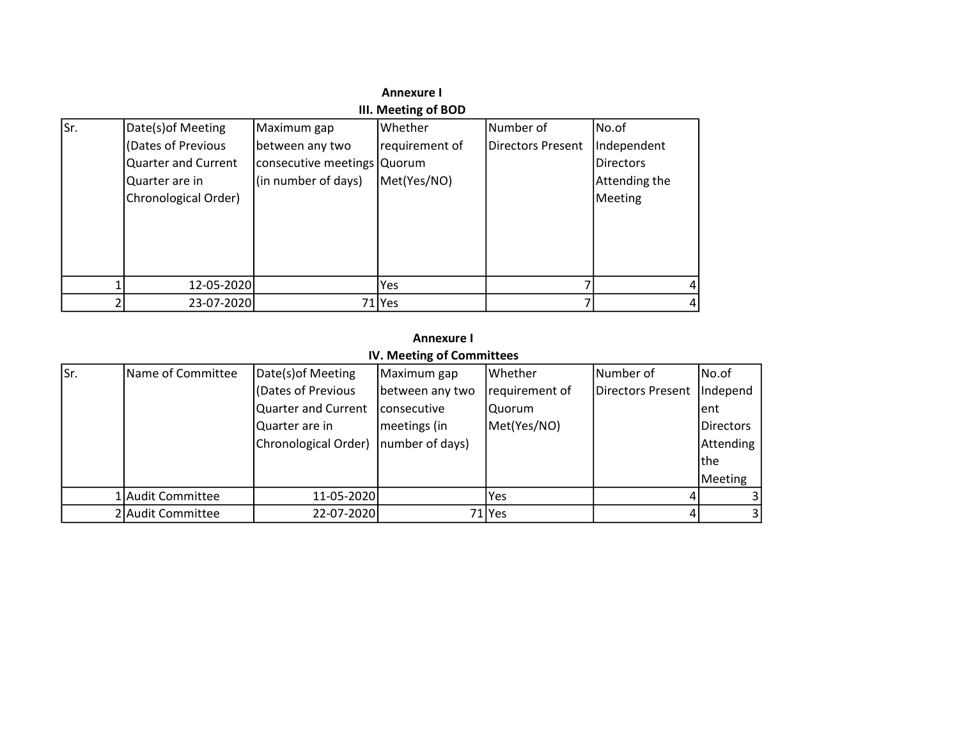|      | <b>Annexure I</b>          |                             |                     |                   |                  |  |  |  |
|------|----------------------------|-----------------------------|---------------------|-------------------|------------------|--|--|--|
|      |                            |                             | III. Meeting of BOD |                   |                  |  |  |  |
| lsr. | Date(s) of Meeting         | Maximum gap                 | Whether             | lNumber of        | No.of            |  |  |  |
|      | (Dates of Previous         | between any two             | requirement of      | Directors Present | Independent      |  |  |  |
|      | <b>Quarter and Current</b> | consecutive meetings Quorum |                     |                   | <b>Directors</b> |  |  |  |
|      | Quarter are in             | (in number of days)         | Met(Yes/NO)         |                   | Attending the    |  |  |  |
|      | Chronological Order)       |                             |                     |                   | Meeting          |  |  |  |
|      |                            |                             |                     |                   |                  |  |  |  |
|      |                            |                             |                     |                   |                  |  |  |  |
|      |                            |                             |                     |                   |                  |  |  |  |
|      |                            |                             |                     |                   |                  |  |  |  |
|      | 12-05-2020                 |                             | Yes                 |                   | 4                |  |  |  |
|      | 23-07-2020                 |                             | 71 I Yes            |                   | 4                |  |  |  |

# Annexure I

### IV. Meeting of Committees

| lsr. | Name of Committee | Date(s) of Meeting                     | Maximum gap     | <b>Whether</b> | Number of                    | No.of            |
|------|-------------------|----------------------------------------|-----------------|----------------|------------------------------|------------------|
|      |                   | Dates of Previous                      | between any two | requirement of | Directors Present   Independ |                  |
|      |                   | Quarter and Current                    | consecutive     | Quorum         |                              | lent             |
|      |                   | Quarter are in                         | meetings (in    | Met(Yes/NO)    |                              | <b>Directors</b> |
|      |                   | Chronological Order)   number of days) |                 |                |                              | Attending        |
|      |                   |                                        |                 |                |                              | <b>Ithe</b>      |
|      |                   |                                        |                 |                |                              | Meeting          |
|      | 1 Audit Committee | 11-05-2020                             |                 | lYes           |                              |                  |
|      | 2 Audit Committee | 22-07-2020                             |                 | 71 Yes         | $\sqrt{1}$                   | $\overline{3}$   |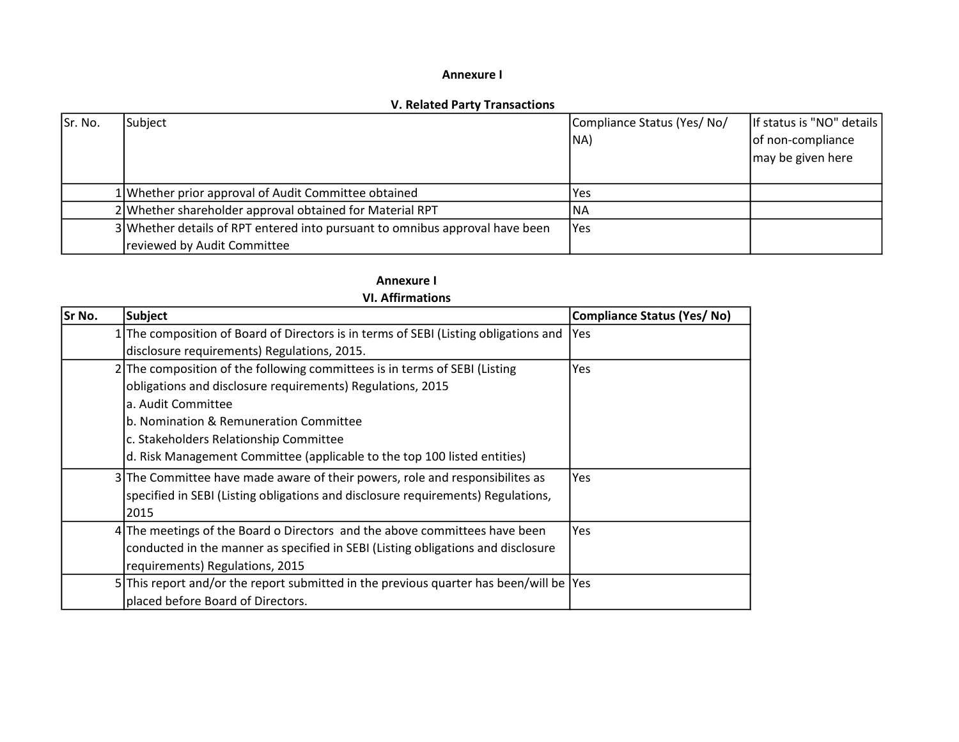### Annexure I

### V. Related Party Transactions

| Sr. No. | Subject                                                                      | Compliance Status (Yes/No/ | If status is "NO" details |
|---------|------------------------------------------------------------------------------|----------------------------|---------------------------|
|         |                                                                              | INA)                       | of non-compliance         |
|         |                                                                              |                            | may be given here         |
|         |                                                                              |                            |                           |
|         | 1 Whether prior approval of Audit Committee obtained                         | Yes                        |                           |
|         | 2 Whether shareholder approval obtained for Material RPT                     | 'NA                        |                           |
|         | 3 Whether details of RPT entered into pursuant to omnibus approval have been | Yes                        |                           |
|         | reviewed by Audit Committee                                                  |                            |                           |

## Annexure I

### VI. Affirmations

| Sr No. | Subject                                                                                 | Compliance Status (Yes/No) |
|--------|-----------------------------------------------------------------------------------------|----------------------------|
|        | 1 The composition of Board of Directors is in terms of SEBI (Listing obligations and    | lYes.                      |
|        | disclosure requirements) Regulations, 2015.                                             |                            |
|        | 2 The composition of the following committees is in terms of SEBI (Listing              | Yes                        |
|        | obligations and disclosure requirements) Regulations, 2015                              |                            |
|        | a. Audit Committee                                                                      |                            |
|        | b. Nomination & Remuneration Committee                                                  |                            |
|        | c. Stakeholders Relationship Committee                                                  |                            |
|        | d. Risk Management Committee (applicable to the top 100 listed entities)                |                            |
|        | 3 The Committee have made aware of their powers, role and responsibilites as            | Yes                        |
|        | specified in SEBI (Listing obligations and disclosure requirements) Regulations,        |                            |
|        | 2015                                                                                    |                            |
|        | 4 The meetings of the Board o Directors and the above committees have been              | Yes                        |
|        | conducted in the manner as specified in SEBI (Listing obligations and disclosure        |                            |
|        | requirements) Regulations, 2015                                                         |                            |
|        | 5 This report and/or the report submitted in the previous quarter has been/will be  Yes |                            |
|        | placed before Board of Directors.                                                       |                            |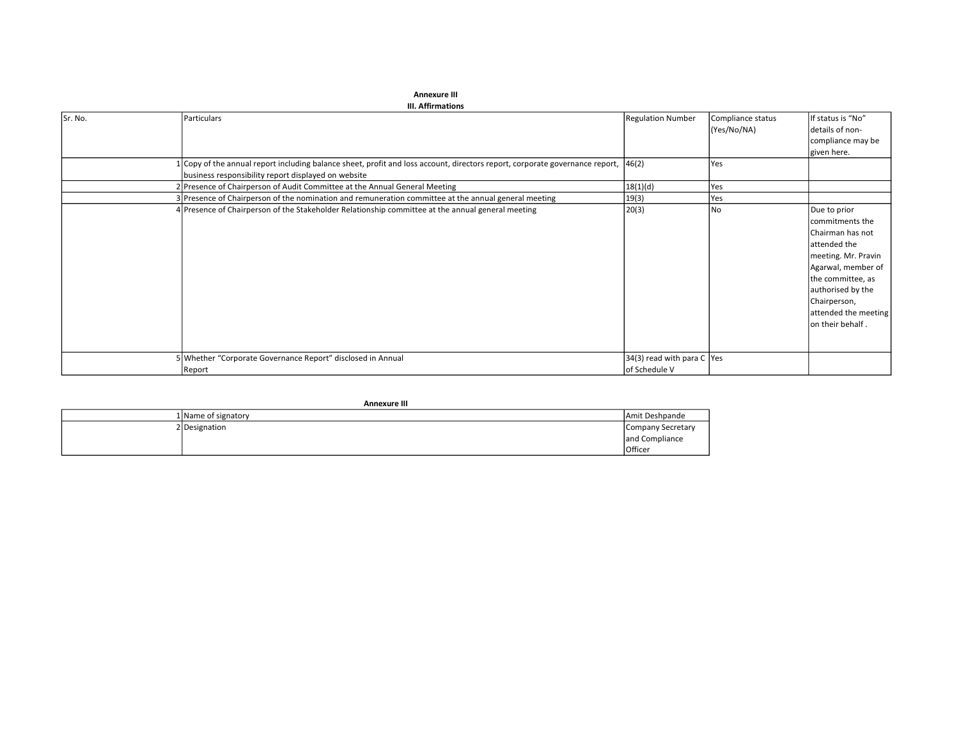|         | III. Attirmations                                                                                                            |                              |                   |                                                                                                                                                                                                                        |
|---------|------------------------------------------------------------------------------------------------------------------------------|------------------------------|-------------------|------------------------------------------------------------------------------------------------------------------------------------------------------------------------------------------------------------------------|
| Sr. No. | Particulars                                                                                                                  | <b>Regulation Number</b>     | Compliance status | If status is "No"                                                                                                                                                                                                      |
|         |                                                                                                                              |                              | (Yes/No/NA)       | details of non-                                                                                                                                                                                                        |
|         |                                                                                                                              |                              |                   | compliance may be                                                                                                                                                                                                      |
|         |                                                                                                                              |                              |                   | given here.                                                                                                                                                                                                            |
|         | 1 Copy of the annual report including balance sheet, profit and loss account, directors report, corporate governance report, | 46(2)                        | Yes               |                                                                                                                                                                                                                        |
|         | business responsibility report displayed on website                                                                          |                              |                   |                                                                                                                                                                                                                        |
|         | 2 Presence of Chairperson of Audit Committee at the Annual General Meeting                                                   | 18(1)(d)                     | Yes               |                                                                                                                                                                                                                        |
|         | 3 Presence of Chairperson of the nomination and remuneration committee at the annual general meeting                         | 19(3)                        | Yes               |                                                                                                                                                                                                                        |
|         | 4 Presence of Chairperson of the Stakeholder Relationship committee at the annual general meeting                            | 20(3)                        | <b>No</b>         | Due to prior<br>commitments the<br>Chairman has not<br>attended the<br>meeting. Mr. Pravin<br>Agarwal, member of<br>the committee, as<br>authorised by the<br>Chairperson,<br>attended the meeting<br>on their behalf. |
|         | 5 Whether "Corporate Governance Report" disclosed in Annual                                                                  | 34(3) read with para C   Yes |                   |                                                                                                                                                                                                                        |
|         | Report                                                                                                                       | of Schedule V                |                   |                                                                                                                                                                                                                        |

| <b>Annexure III</b> |                     |                   |  |
|---------------------|---------------------|-------------------|--|
|                     | 1 Name of signatory | Amit Deshpande    |  |
|                     | 2 Designation       | Company Secretary |  |
|                     |                     | and Compliance    |  |
|                     |                     | <b>Officer</b>    |  |

#### Annexure III

 $III.$  Affirmations